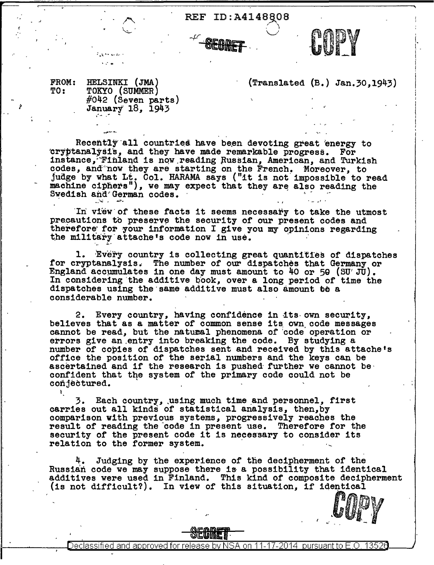REF ID:A4148808

**SEGME** 

 $\left( \begin{array}{c} \cdot \end{array} \right)$  $\bigcup$ 



 $\mathbb{P}_{\mathbf{u}}\mathbf{x} \leftrightarrow \mathbb{P}_{\mathbf{u}}\mathbf{x}_0 +$ 

• ,J

(Translated (B.) Jan.30,1943)

 $\bullet$   $\mathsf{U}$  ,  $\mathsf{V}$  ,  $\mathsf{V}$  $\bullet\,$ 

 $\vdash$ l - ! !

 $\begin{matrix} \vdots \\ \vdots \end{matrix}$ 

Recently all countries have been devoting great energy to cryptanalysis, and they have made remarkable progress. For instance, Finland is now reading Russian, American, and Turkish codes, and now they are starting on the French. Moreover, to judge by what Lt. Col. HARAMA says ("it is not impossible to read machine ciphers"), we may expect that they are also reading the Swedish and German codes.

In view of these facts it seems necessary to take the utmost precautions to preserve the security of our present codes and therefore for your information I give you my opinions regarding the military attache<sup>†</sup>s code now in use.

1. Every country is collecting great quantities of dispatches for cryptanalysis. The number of our dispatches that Germany or England accpmulates in one day must amount to 40 or 5g (SU'JU). In considering the additive book, over a long period of time the dispatches using the same additive must also amount to a considerable number.

2. Every country, having confidence in its own security, believes that as a matter of common sense its. own. code messages cannot be read, but the natural phenomena of 'code operation or errors give an entry into breaking the code. By studying a number of copies of dispatches sent and received by this attache's office the position of the serial numbers and the keys can be ascertained and if the research is pushed further we cannot be. confident that the system of the primary code could not be conjectured.

3. Each country, using much time and personnel, first carries out all kinds of statistical analysis, then, by comparison with previous systems, progressively reaches the result of reading the code in present use. Therefore for the security of the present code it is necessary to consider its relation to the former system.

Judging by the experience of the decipherment of the Russian code we may suppose there is a possibility that identical additives were used in Finland. This kind of composite decipherment (is not difficult?). In view of this situation, if identical  $COP$